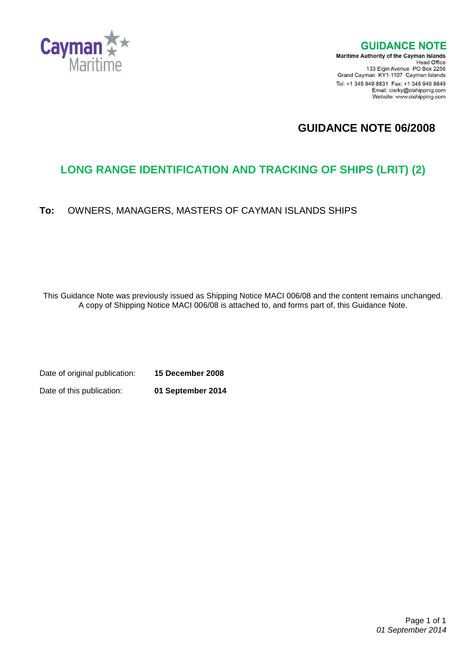

**GUIDANCE NOTE** 

**Maritime Authority of the Cayman Islands** Head Office<br>Head Office<br>133 Elgin Avenue PO Box 2256 Grand Cayman KY1-1107 Cayman Islands Tel: +1 345 949 8831 Fax: +1 345 949 8849 Email: cisrky@cishipping.com Website: www.cishipping.com

# **GUIDANCE NOTE 06/2008**

# **LONG RANGE IDENTIFICATION AND TRACKING OF SHIPS (LRIT) (2)**

## **To:** OWNERS, MANAGERS, MASTERS OF CAYMAN ISLANDS SHIPS

This Guidance Note was previously issued as Shipping Notice MACI 006/08 and the content remains unchanged. A copy of Shipping Notice MACI 006/08 is attached to, and forms part of, this Guidance Note.

Date of original publication: **15 December 2008** Date of this publication: **01 September 2014**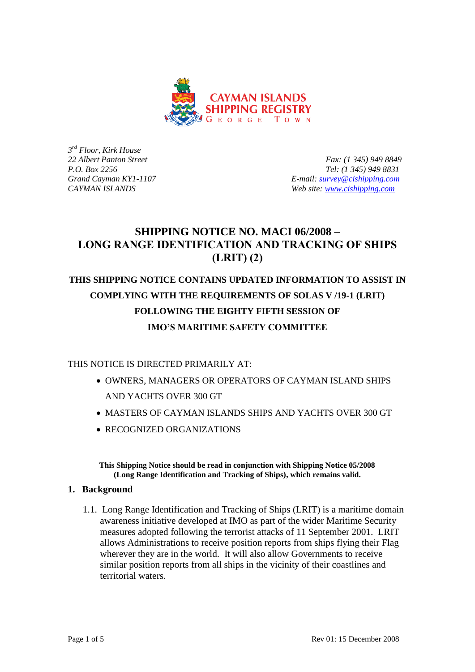

*3 rd Floor, Kirk House*

*22 Albert Panton Street Fax: (1 345) 949 8849 P.O. Box 2256 Tel: (1 345) 949 8831 Grand Cayman KY1-1107 E-mail: [survey@cishipping.com](mailto:survey@cishipping.com) CAYMAN ISLANDS Web site: [www.cishipping.com](http://www.cishipping.com/)*

# **SHIPPING NOTICE NO. MACI 06/2008 – LONG RANGE IDENTIFICATION AND TRACKING OF SHIPS (LRIT) (2)**

# **THIS SHIPPING NOTICE CONTAINS UPDATED INFORMATION TO ASSIST IN COMPLYING WITH THE REQUIREMENTS OF SOLAS V /19-1 (LRIT) FOLLOWING THE EIGHTY FIFTH SESSION OF IMO'S MARITIME SAFETY COMMITTEE**

THIS NOTICE IS DIRECTED PRIMARILY AT:

- OWNERS, MANAGERS OR OPERATORS OF CAYMAN ISLAND SHIPS AND YACHTS OVER 300 GT
- MASTERS OF CAYMAN ISLANDS SHIPS AND YACHTS OVER 300 GT
- RECOGNIZED ORGANIZATIONS

**This Shipping Notice should be read in conjunction with Shipping Notice 05/2008 (Long Range Identification and Tracking of Ships), which remains valid.**

#### **1. Background**

1.1. Long Range Identification and Tracking of Ships (LRIT) is a maritime domain awareness initiative developed at IMO as part of the wider Maritime Security measures adopted following the terrorist attacks of 11 September 2001. LRIT allows Administrations to receive position reports from ships flying their Flag wherever they are in the world. It will also allow Governments to receive similar position reports from all ships in the vicinity of their coastlines and territorial waters.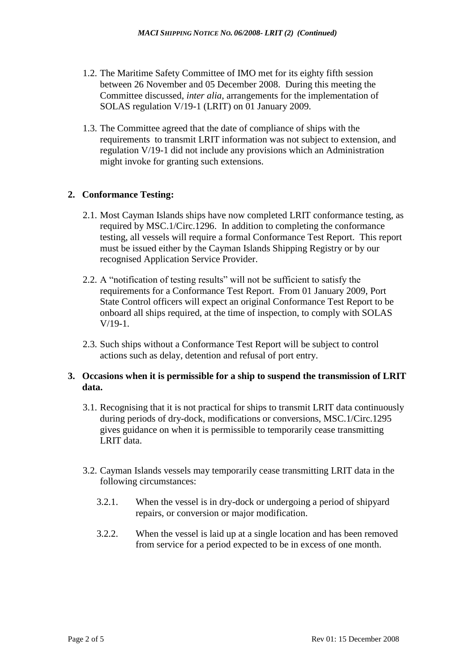- 1.2. The Maritime Safety Committee of IMO met for its eighty fifth session between 26 November and 05 December 2008. During this meeting the Committee discussed, *inter alia*, arrangements for the implementation of SOLAS regulation V/19-1 (LRIT) on 01 January 2009.
- 1.3. The Committee agreed that the date of compliance of ships with the requirements to transmit LRIT information was not subject to extension, and regulation V/19-1 did not include any provisions which an Administration might invoke for granting such extensions.

## **2. Conformance Testing:**

- 2.1. Most Cayman Islands ships have now completed LRIT conformance testing, as required by MSC.1/Circ.1296. In addition to completing the conformance testing, all vessels will require a formal Conformance Test Report. This report must be issued either by the Cayman Islands Shipping Registry or by our recognised Application Service Provider.
- 2.2. A "notification of testing results" will not be sufficient to satisfy the requirements for a Conformance Test Report. From 01 January 2009, Port State Control officers will expect an original Conformance Test Report to be onboard all ships required, at the time of inspection, to comply with SOLAS V/19-1.
- 2.3. Such ships without a Conformance Test Report will be subject to control actions such as delay, detention and refusal of port entry.

## **3. Occasions when it is permissible for a ship to suspend the transmission of LRIT data.**

- 3.1. Recognising that it is not practical for ships to transmit LRIT data continuously during periods of dry-dock, modifications or conversions, MSC.1/Circ.1295 gives guidance on when it is permissible to temporarily cease transmitting LRIT data.
- 3.2. Cayman Islands vessels may temporarily cease transmitting LRIT data in the following circumstances:
	- 3.2.1. When the vessel is in dry-dock or undergoing a period of shipyard repairs, or conversion or major modification.
	- 3.2.2. When the vessel is laid up at a single location and has been removed from service for a period expected to be in excess of one month.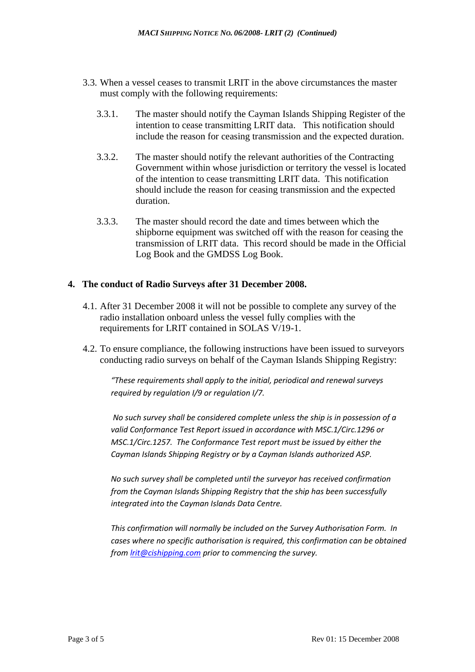- 3.3. When a vessel ceases to transmit LRIT in the above circumstances the master must comply with the following requirements:
	- 3.3.1. The master should notify the Cayman Islands Shipping Register of the intention to cease transmitting LRIT data. This notification should include the reason for ceasing transmission and the expected duration.
	- 3.3.2. The master should notify the relevant authorities of the Contracting Government within whose jurisdiction or territory the vessel is located of the intention to cease transmitting LRIT data. This notification should include the reason for ceasing transmission and the expected duration.
	- 3.3.3. The master should record the date and times between which the shipborne equipment was switched off with the reason for ceasing the transmission of LRIT data. This record should be made in the Official Log Book and the GMDSS Log Book.

#### **4. The conduct of Radio Surveys after 31 December 2008.**

- 4.1. After 31 December 2008 it will not be possible to complete any survey of the radio installation onboard unless the vessel fully complies with the requirements for LRIT contained in SOLAS V/19-1.
- 4.2. To ensure compliance, the following instructions have been issued to surveyors conducting radio surveys on behalf of the Cayman Islands Shipping Registry:

*"These requirements shall apply to the initial, periodical and renewal surveys required by regulation I/9 or regulation I/7.*

*No such survey shall be considered complete unless the ship is in possession of a valid Conformance Test Report issued in accordance with MSC.1/Circ.1296 or MSC.1/Circ.1257. The Conformance Test report must be issued by either the Cayman Islands Shipping Registry or by a Cayman Islands authorized ASP.*

*No such survey shall be completed until the surveyor has received confirmation from the Cayman Islands Shipping Registry that the ship has been successfully integrated into the Cayman Islands Data Centre.*

*This confirmation will normally be included on the Survey Authorisation Form. In cases where no specific authorisation is required, this confirmation can be obtained from [lrit@cishipping.com](mailto:lrit@cishipping.com) prior to commencing the survey.*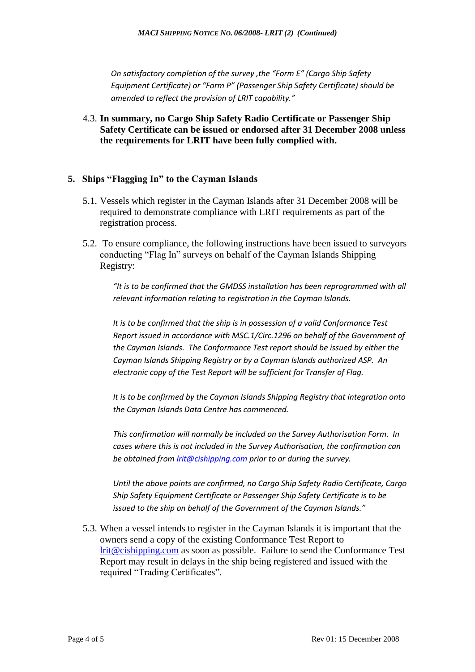*On satisfactory completion of the survey ,the "Form E" (Cargo Ship Safety Equipment Certificate) or "Form P" (Passenger Ship Safety Certificate) should be amended to reflect the provision of LRIT capability."*

4.3. **In summary, no Cargo Ship Safety Radio Certificate or Passenger Ship Safety Certificate can be issued or endorsed after 31 December 2008 unless the requirements for LRIT have been fully complied with.**

## **5. Ships "Flagging In" to the Cayman Islands**

- 5.1. Vessels which register in the Cayman Islands after 31 December 2008 will be required to demonstrate compliance with LRIT requirements as part of the registration process.
- 5.2. To ensure compliance, the following instructions have been issued to surveyors conducting "Flag In" surveys on behalf of the Cayman Islands Shipping Registry:

*"It is to be confirmed that the GMDSS installation has been reprogrammed with all relevant information relating to registration in the Cayman Islands.*

*It is to be confirmed that the ship is in possession of a valid Conformance Test Report issued in accordance with MSC.1/Circ.1296 on behalf of the Government of the Cayman Islands. The Conformance Test report should be issued by either the Cayman Islands Shipping Registry or by a Cayman Islands authorized ASP. An electronic copy of the Test Report will be sufficient for Transfer of Flag.*

*It is to be confirmed by the Cayman Islands Shipping Registry that integration onto the Cayman Islands Data Centre has commenced.*

*This confirmation will normally be included on the Survey Authorisation Form. In cases where this is not included in the Survey Authorisation, the confirmation can be obtained from [lrit@cishipping.com](mailto:lrit@cishipping.com) prior to or during the survey.*

*Until the above points are confirmed, no Cargo Ship Safety Radio Certificate, Cargo Ship Safety Equipment Certificate or Passenger Ship Safety Certificate is to be issued to the ship on behalf of the Government of the Cayman Islands."*

5.3. When a vessel intends to register in the Cayman Islands it is important that the owners send a copy of the existing Conformance Test Report to [lrit@cishipping.com](mailto:lrit@cishipping.com) as soon as possible. Failure to send the Conformance Test Report may result in delays in the ship being registered and issued with the required "Trading Certificates".